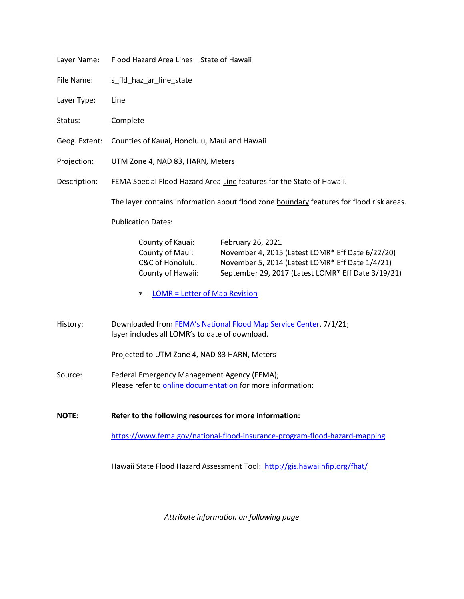| Layer Name:   | Flood Hazard Area Lines - State of Hawaii                                                                                                                                                                                                                      |
|---------------|----------------------------------------------------------------------------------------------------------------------------------------------------------------------------------------------------------------------------------------------------------------|
| File Name:    | s fld_haz_ar_line_state                                                                                                                                                                                                                                        |
| Layer Type:   | Line                                                                                                                                                                                                                                                           |
| Status:       | Complete                                                                                                                                                                                                                                                       |
| Geog. Extent: | Counties of Kauai, Honolulu, Maui and Hawaii                                                                                                                                                                                                                   |
| Projection:   | UTM Zone 4, NAD 83, HARN, Meters                                                                                                                                                                                                                               |
| Description:  | FEMA Special Flood Hazard Area Line features for the State of Hawaii.                                                                                                                                                                                          |
|               | The layer contains information about flood zone boundary features for flood risk areas.                                                                                                                                                                        |
|               | <b>Publication Dates:</b>                                                                                                                                                                                                                                      |
|               | County of Kauai:<br>February 26, 2021<br>County of Maui:<br>November 4, 2015 (Latest LOMR* Eff Date 6/22/20)<br>C&C of Honolulu:<br>November 5, 2014 (Latest LOMR* Eff Date 1/4/21)<br>County of Hawaii:<br>September 29, 2017 (Latest LOMR* Eff Date 3/19/21) |
|               | <b>LOMR = Letter of Map Revision</b><br>∗                                                                                                                                                                                                                      |
| History:      | Downloaded from FEMA's National Flood Map Service Center, 7/1/21;<br>layer includes all LOMR's to date of download.                                                                                                                                            |
|               | Projected to UTM Zone 4, NAD 83 HARN, Meters                                                                                                                                                                                                                   |
| Source:       | Federal Emergency Management Agency (FEMA);<br>Please refer to online documentation for more information:                                                                                                                                                      |
| <b>NOTE:</b>  | Refer to the following resources for more information:                                                                                                                                                                                                         |
|               | https://www.fema.gov/national-flood-insurance-program-flood-hazard-mapping                                                                                                                                                                                     |
|               | Hawaii State Flood Hazard Assessment Tool: http://gis.hawaiinfip.org/fhat/                                                                                                                                                                                     |
|               |                                                                                                                                                                                                                                                                |

*Attribute information on following page*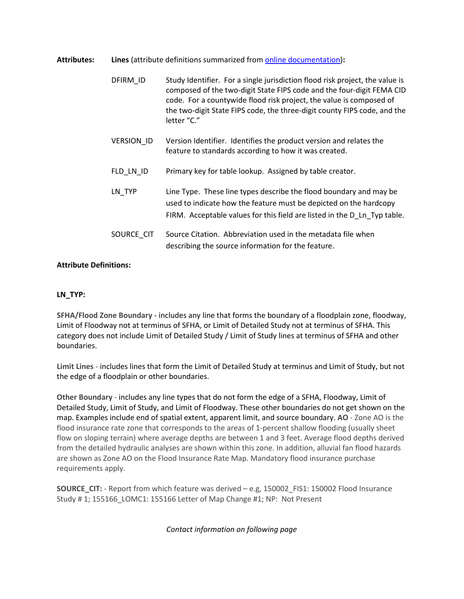**Attributes: Lines** (attribute definitions summarized from [online documentation\)](https://www.fema.gov/sites/default/files/documents/fema_firm-database-technical-reference.pdf)**:**

DFIRM ID Study Identifier. For a single jurisdiction flood risk project, the value is composed of the two-digit State FIPS code and the four-digit FEMA CID code. For a countywide flood risk project, the value is composed of the two-digit State FIPS code, the three-digit county FIPS code, and the letter "C." VERSION\_ID Version Identifier. Identifies the product version and relates the feature to standards according to how it was created. FLD\_LN\_ID Primary key for table lookup. Assigned by table creator. LN TYP Line Type. These line types describe the flood boundary and may be used to indicate how the feature must be depicted on the hardcopy FIRM. Acceptable values for this field are listed in the D Ln Typ table. SOURCE\_CIT Source Citation. Abbreviation used in the metadata file when describing the source information for the feature.

## **Attribute Definitions:**

## **LN\_TYP:**

**SFHA/Flood Zone Boundary -** includes any line that forms the boundary of a floodplain zone, floodway, Limit of Floodway not at terminus of SFHA, or Limit of Detailed Study not at terminus of SFHA. This category does not include Limit of Detailed Study / Limit of Study lines at terminus of SFHA and other boundaries.

**Limit Lines** - includes lines that form the Limit of Detailed Study at terminus and Limit of Study, but not the edge of a floodplain or other boundaries.

**Other Boundary** - includes any line types that do not form the edge of a SFHA, Floodway, Limit of Detailed Study, Limit of Study, and Limit of Floodway. These other boundaries do not get shown on the map. Examples include end of spatial extent, apparent limit, and source boundary. **AO** - Zone AO is the flood insurance rate zone that corresponds to the areas of 1-percent shallow flooding (usually sheet flow on sloping terrain) where average depths are between 1 and 3 feet. Average flood depths derived from the detailed hydraulic analyses are shown within this zone. In addition, alluvial fan flood hazards are shown as Zone AO on the Flood Insurance Rate Map. Mandatory flood insurance purchase requirements apply.

**SOURCE\_CIT:** - Report from which feature was derived – e.g, 150002\_FIS1: 150002 Flood Insurance Study # 1; 155166\_LOMC1: 155166 Letter of Map Change #1; NP: Not Present

*Contact information on following page*